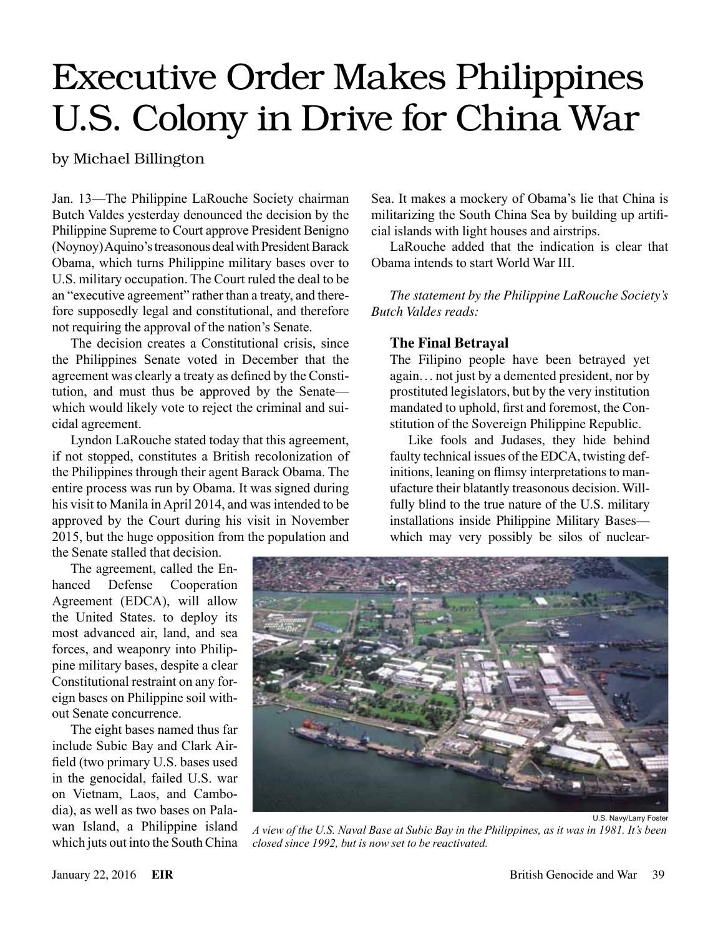## Executive Order Makes Philippines U.S. Colony in Drive for China War

by Michael Billington

Jan. 13—The Philippine LaRouche Society chairman Butch Valdes yesterday denounced the decision by the Philippine Supreme to Court approve President Benigno (Noynoy) Aquino's treasonous deal with President Barack Obama, which turns Philippine military bases over to U.S. military occupation. The Court ruled the deal to be an "executive agreement" rather than a treaty, and therefore supposedly legal and constitutional, and therefore not requiring the approval of the nation's Senate.

The decision creates a Constitutional crisis, since the Philippines Senate voted in December that the agreement was clearly a treaty as defined by the Constitution, and must thus be approved by the Senate which would likely vote to reject the criminal and suicidal agreement.

Lyndon LaRouche stated today that this agreement, if not stopped, constitutes a British recolonization of the Philippines through their agent Barack Obama. The entire process was run by Obama. It was signed during his visit to Manila in April 2014, and was intended to be approved by the Court during his visit in November 2015, but the huge opposition from the population and

the Senate stalled that decision.

The agreement, called the Enhanced Defense Cooperation Agreement (EDCA), will allow the United States. to deploy its most advanced air, land, and sea forces, and weaponry into Philippine military bases, despite a clear Constitutional restraint on any foreign bases on Philippine soil without Senate concurrence.

The eight bases named thus far include Subic Bay and Clark Airfield (two primary U.S. bases used in the genocidal, failed U.S. war on Vietnam, Laos, and Cambodia), as well as two bases on Palawan Island, a Philippine island which juts out into the South China

Sea. It makes a mockery of Obama's lie that China is militarizing the South China Sea by building up artificial islands with light houses and airstrips.

LaRouche added that the indication is clear that Obama intends to start World War III.

*The statement by the Philippine LaRouche Society's Butch Valdes reads:*

## **The Final Betrayal**

The Filipino people have been betrayed yet again. . . not just by a demented president, nor by prostituted legislators, but by the very institution mandated to uphold, first and foremost, the Constitution of the Sovereign Philippine Republic.

Like fools and Judases, they hide behind faulty technical issues of the EDCA, twisting definitions, leaning on flimsy interpretations to manufacture their blatantly treasonous decision. Willfully blind to the true nature of the U.S. military installations inside Philippine Military Bases which may very possibly be silos of nuclear-



*A view of the U.S. Naval Base at Subic Bay in the Philippines, as it was in 1981. It's been closed since 1992, but is now set to be reactivated.*